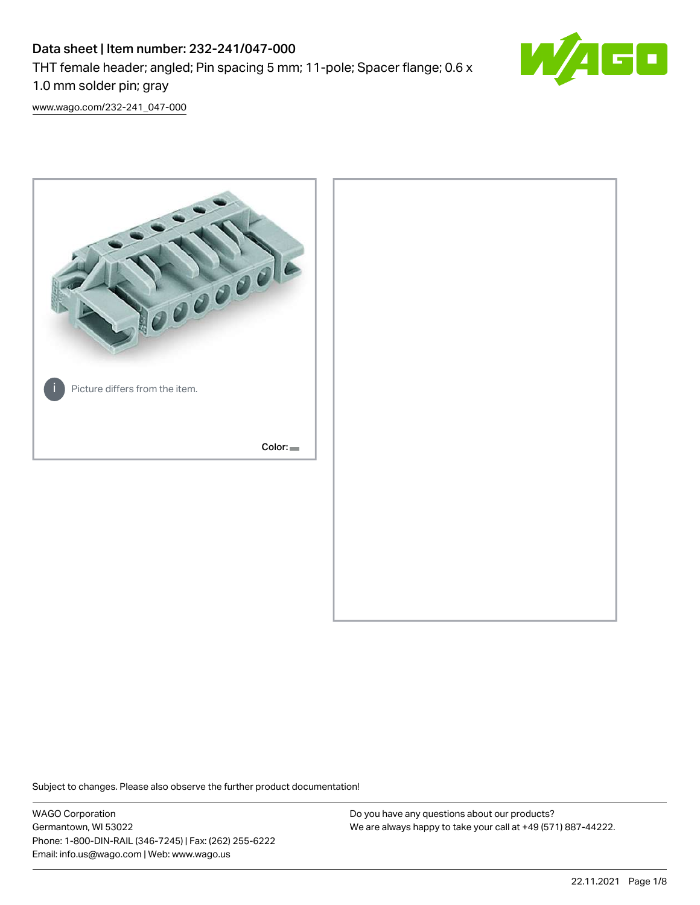# Data sheet | Item number: 232-241/047-000 THT female header; angled; Pin spacing 5 mm; 11-pole; Spacer flange; 0.6 x 1.0 mm solder pin; gray



[www.wago.com/232-241\\_047-000](http://www.wago.com/232-241_047-000)



Subject to changes. Please also observe the further product documentation!

WAGO Corporation Germantown, WI 53022 Phone: 1-800-DIN-RAIL (346-7245) | Fax: (262) 255-6222 Email: info.us@wago.com | Web: www.wago.us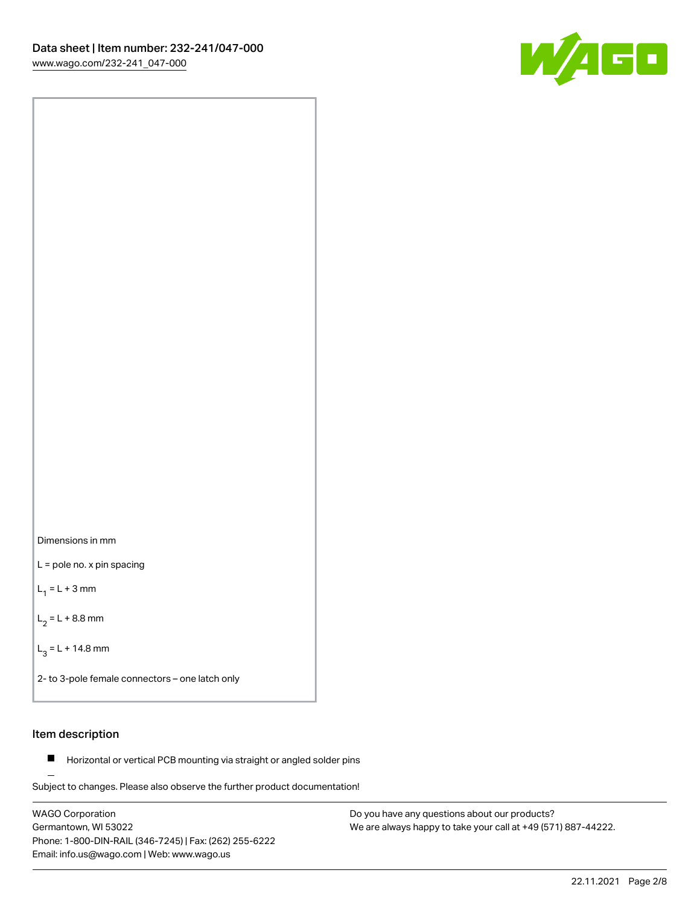



L = pole no. x pin spacing

 $L_1 = L + 3$  mm

 $L_2 = L + 8.8$  mm

 $L_3 = L + 14.8$  mm

2- to 3-pole female connectors – one latch only

# Item description

**Horizontal or vertical PCB mounting via straight or angled solder pins** 

Subject to changes. Please also observe the further product documentation! For board-to-board and board-to-wire connections

WAGO Corporation Germantown, WI 53022 Phone: 1-800-DIN-RAIL (346-7245) | Fax: (262) 255-6222 Email: info.us@wago.com | Web: www.wago.us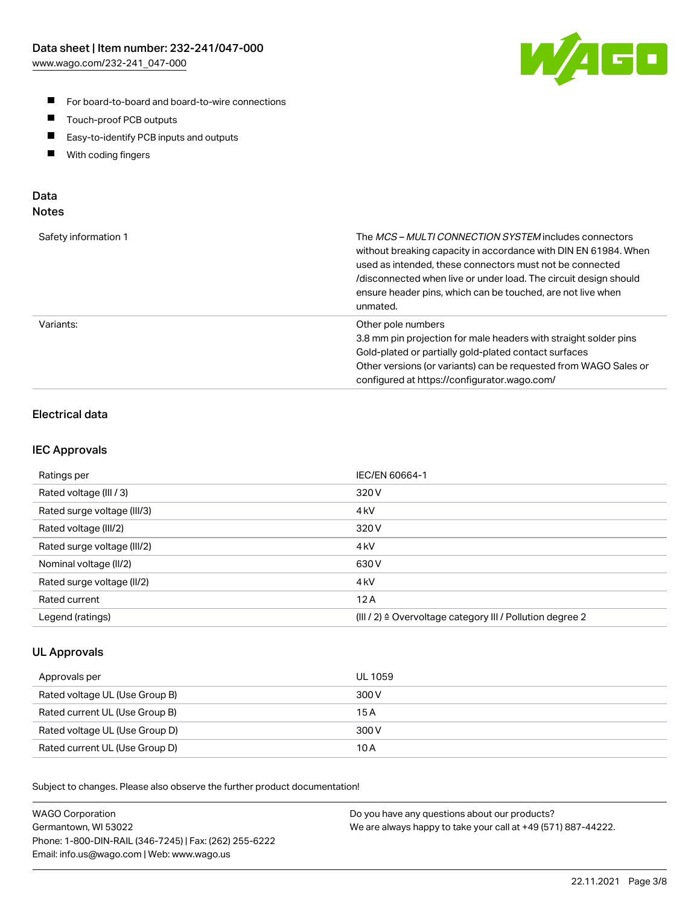

- For board-to-board and board-to-wire connections
- $\blacksquare$ Touch-proof PCB outputs
- $\blacksquare$ Easy-to-identify PCB inputs and outputs
- $\blacksquare$ With coding fingers

# Data **Notes**

| Safety information 1 | The <i>MCS – MULTI CONNECTION SYSTEM</i> includes connectors<br>without breaking capacity in accordance with DIN EN 61984. When<br>used as intended, these connectors must not be connected<br>/disconnected when live or under load. The circuit design should<br>ensure header pins, which can be touched, are not live when<br>unmated. |
|----------------------|--------------------------------------------------------------------------------------------------------------------------------------------------------------------------------------------------------------------------------------------------------------------------------------------------------------------------------------------|
| Variants:            | Other pole numbers<br>3.8 mm pin projection for male headers with straight solder pins<br>Gold-plated or partially gold-plated contact surfaces<br>Other versions (or variants) can be requested from WAGO Sales or<br>configured at https://configurator.wago.com/                                                                        |

# Electrical data

# IEC Approvals

| Ratings per                 | IEC/EN 60664-1                                                        |
|-----------------------------|-----------------------------------------------------------------------|
| Rated voltage (III / 3)     | 320 V                                                                 |
| Rated surge voltage (III/3) | 4 <sub>k</sub> V                                                      |
| Rated voltage (III/2)       | 320 V                                                                 |
| Rated surge voltage (III/2) | 4 <sub>k</sub> V                                                      |
| Nominal voltage (II/2)      | 630 V                                                                 |
| Rated surge voltage (II/2)  | 4 <sub>kV</sub>                                                       |
| Rated current               | 12A                                                                   |
| Legend (ratings)            | $(III / 2)$ $\triangle$ Overvoltage category III / Pollution degree 2 |

# UL Approvals

| Approvals per                  | UL 1059 |
|--------------------------------|---------|
| Rated voltage UL (Use Group B) | 300 V   |
| Rated current UL (Use Group B) | 15 A    |
| Rated voltage UL (Use Group D) | 300 V   |
| Rated current UL (Use Group D) | 10 A    |

Subject to changes. Please also observe the further product documentation!

| <b>WAGO Corporation</b>                                | Do you have any questions about our products?                 |
|--------------------------------------------------------|---------------------------------------------------------------|
| Germantown, WI 53022                                   | We are always happy to take your call at +49 (571) 887-44222. |
| Phone: 1-800-DIN-RAIL (346-7245)   Fax: (262) 255-6222 |                                                               |
| Email: info.us@wago.com   Web: www.wago.us             |                                                               |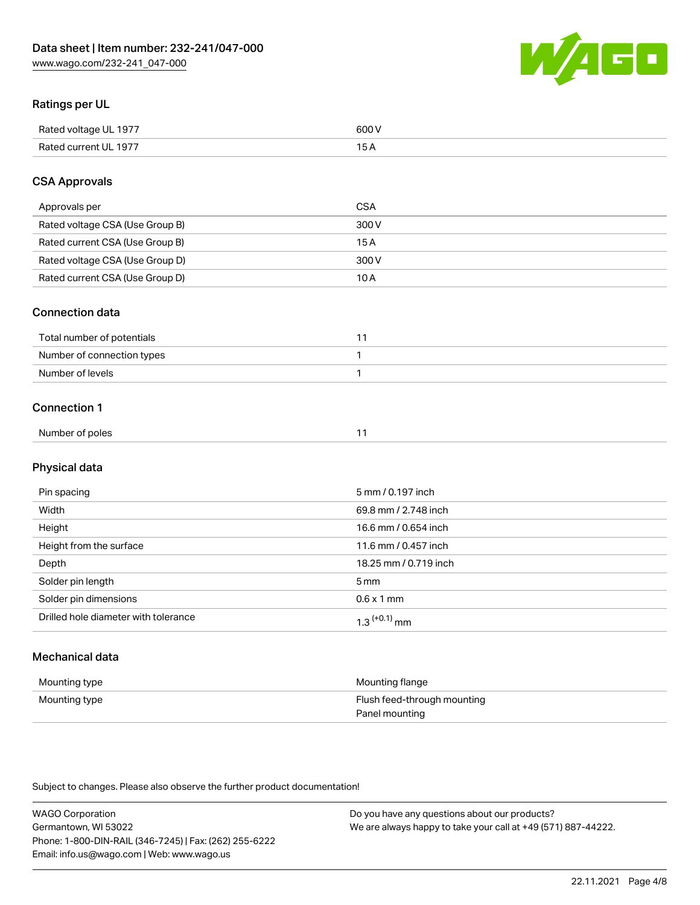

# Ratings per UL

| Rated voltage UL 1977 | soo v<br>วบบ<br>. |
|-----------------------|-------------------|
| Rated current UL 1977 | --                |
|                       | . J <i>r</i>      |

# CSA Approvals

| Approvals per                   | CSA   |
|---------------------------------|-------|
| Rated voltage CSA (Use Group B) | 300 V |
| Rated current CSA (Use Group B) | 15 A  |
| Rated voltage CSA (Use Group D) | 300 V |
| Rated current CSA (Use Group D) | 10 A  |

#### Connection data

| Total number of potentials |  |
|----------------------------|--|
| Number of connection types |  |
| Number of levels           |  |

#### Connection 1

| Number of poles |
|-----------------|
|-----------------|

# Physical data

| Pin spacing                          | 5 mm / 0.197 inch     |
|--------------------------------------|-----------------------|
| Width                                | 69.8 mm / 2.748 inch  |
| Height                               | 16.6 mm / 0.654 inch  |
| Height from the surface              | 11.6 mm / 0.457 inch  |
| Depth                                | 18.25 mm / 0.719 inch |
| Solder pin length                    | 5 <sub>mm</sub>       |
| Solder pin dimensions                | $0.6 \times 1$ mm     |
| Drilled hole diameter with tolerance | $1.3$ $(+0.1)$ mm     |

# Mechanical data

| Mounting type | Mounting flange             |
|---------------|-----------------------------|
| Mounting type | Flush feed-through mounting |
|               | Panel mounting              |

Subject to changes. Please also observe the further product documentation!

| <b>WAGO Corporation</b>                                | Do you have any questions about our products?                 |
|--------------------------------------------------------|---------------------------------------------------------------|
| Germantown, WI 53022                                   | We are always happy to take your call at +49 (571) 887-44222. |
| Phone: 1-800-DIN-RAIL (346-7245)   Fax: (262) 255-6222 |                                                               |
| Email: info.us@wago.com   Web: www.wago.us             |                                                               |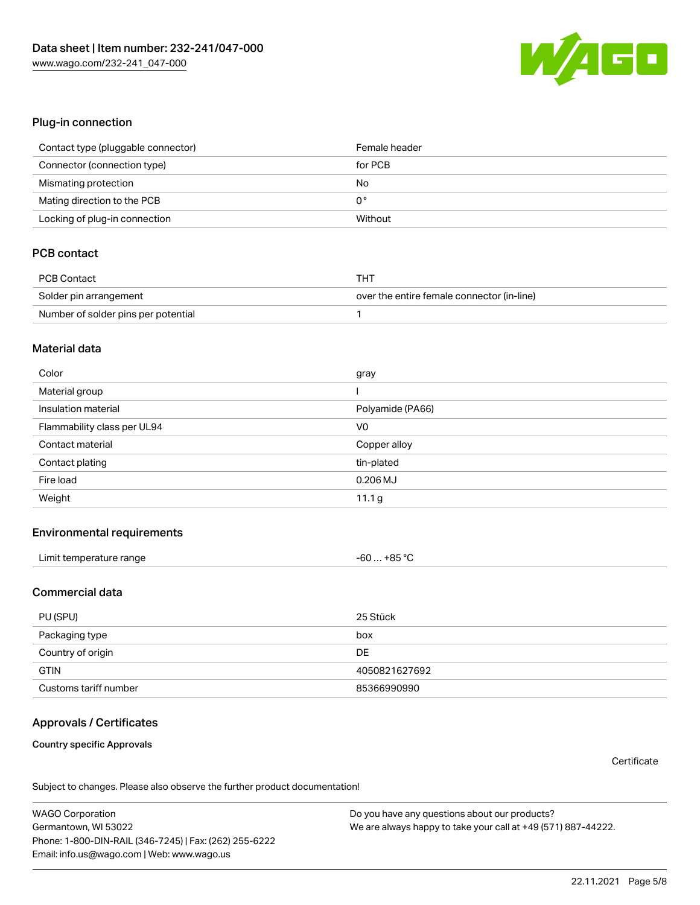

#### Plug-in connection

| Contact type (pluggable connector) | Female header |
|------------------------------------|---------------|
| Connector (connection type)        | for PCB       |
| Mismating protection               | No            |
| Mating direction to the PCB        | 0°            |
| Locking of plug-in connection      | Without       |

# PCB contact

| PCB Contact                         | THT                                        |
|-------------------------------------|--------------------------------------------|
| Solder pin arrangement              | over the entire female connector (in-line) |
| Number of solder pins per potential |                                            |

#### Material data

| Color                       | gray             |
|-----------------------------|------------------|
| Material group              |                  |
| Insulation material         | Polyamide (PA66) |
| Flammability class per UL94 | V <sub>0</sub>   |
| Contact material            | Copper alloy     |
| Contact plating             | tin-plated       |
| Fire load                   | $0.206$ MJ       |
| Weight                      | 11.1 g           |

#### Environmental requirements

| Limit temperature range<br>the contract of the contract of the contract of the contract of the contract of the contract of the contract of | $-60+85 °C$ |  |
|--------------------------------------------------------------------------------------------------------------------------------------------|-------------|--|
|--------------------------------------------------------------------------------------------------------------------------------------------|-------------|--|

### Commercial data

| PU (SPU)              | 25 Stück      |
|-----------------------|---------------|
| Packaging type        | box           |
| Country of origin     | <b>DE</b>     |
| <b>GTIN</b>           | 4050821627692 |
| Customs tariff number | 85366990990   |

# Approvals / Certificates

#### Country specific Approvals

**Certificate** 

Subject to changes. Please also observe the further product documentation!

WAGO Corporation Germantown, WI 53022 Phone: 1-800-DIN-RAIL (346-7245) | Fax: (262) 255-6222 Email: info.us@wago.com | Web: www.wago.us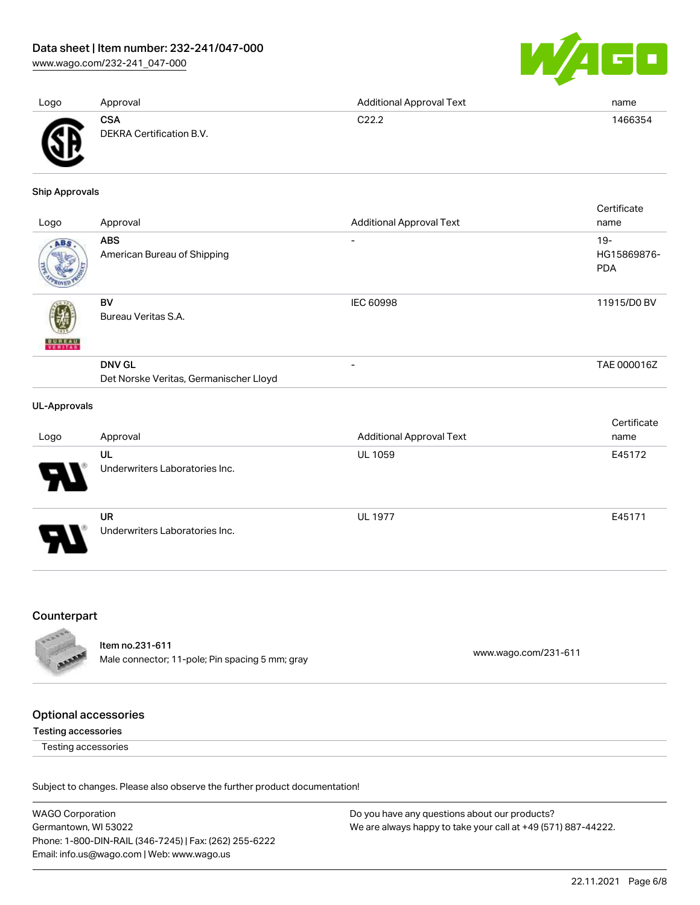[www.wago.com/232-241\\_047-000](http://www.wago.com/232-241_047-000)



| Logo     | Approval                               | <b>Additional Approval Text</b> | name    |
|----------|----------------------------------------|---------------------------------|---------|
| Ж<br>. . | <b>CSA</b><br>DEKRA Certification B.V. | C22.2                           | 1466354 |

Ship Approvals

|                     |                                                         |                                 | Certificate                         |
|---------------------|---------------------------------------------------------|---------------------------------|-------------------------------------|
| Logo                | Approval                                                | <b>Additional Approval Text</b> | name                                |
| ABS                 | <b>ABS</b><br>American Bureau of Shipping               | Ξ.                              | $19 -$<br>HG15869876-<br><b>PDA</b> |
| <b>BUREAU</b>       | BV<br>Bureau Veritas S.A.                               | <b>IEC 60998</b>                | 11915/D0 BV                         |
|                     | <b>DNV GL</b><br>Det Norske Veritas, Germanischer Lloyd | $\overline{\phantom{0}}$        | TAE 000016Z                         |
| <b>UL-Approvals</b> |                                                         |                                 |                                     |
|                     |                                                         |                                 | Certificate                         |

| Logo | Approval                       | <b>Additional Approval Text</b> | name   |
|------|--------------------------------|---------------------------------|--------|
|      | UL                             | <b>UL 1059</b>                  | E45172 |
| 8.   | Underwriters Laboratories Inc. |                                 |        |
|      | <b>UR</b>                      | <b>UL 1977</b>                  | E45171 |
| D    | Underwriters Laboratories Inc. |                                 |        |

# Counterpart



Item no.231-611 nem 10.231-611<br>Male connector; 11-pole; Pin spacing 5 mm; gray [www.wago.com/231-611](https://www.wago.com/231-611)

# Optional accessories

Testing accessories

Testing accessories

Subject to changes. Please also observe the further product documentation!

WAGO Corporation Germantown, WI 53022 Phone: 1-800-DIN-RAIL (346-7245) | Fax: (262) 255-6222 Email: info.us@wago.com | Web: www.wago.us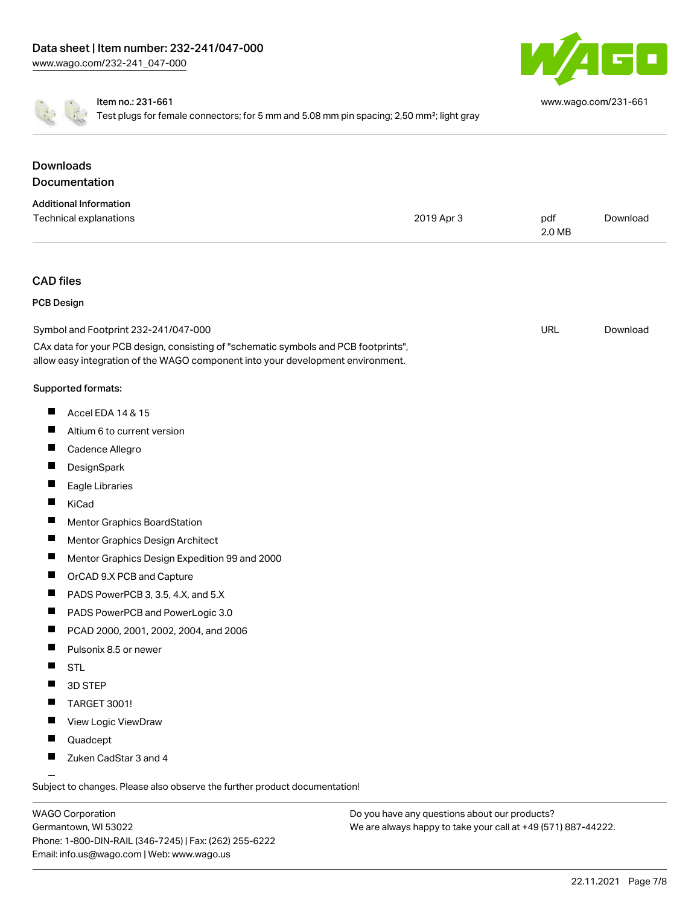

[www.wago.com/231-661](http://www.wago.com/231-661)

Item no.: 231-661

Test plugs for female connectors; for 5 mm and 5.08 mm pin spacing; 2,50 mm<sup>2</sup>; light gray

| <b>Downloads</b>                                                                                                                                                       |            |               |          |
|------------------------------------------------------------------------------------------------------------------------------------------------------------------------|------------|---------------|----------|
| Documentation                                                                                                                                                          |            |               |          |
| <b>Additional Information</b>                                                                                                                                          |            |               |          |
| Technical explanations                                                                                                                                                 | 2019 Apr 3 | pdf<br>2.0 MB | Download |
| <b>CAD files</b>                                                                                                                                                       |            |               |          |
| <b>PCB Design</b>                                                                                                                                                      |            |               |          |
| Symbol and Footprint 232-241/047-000                                                                                                                                   |            | <b>URL</b>    | Download |
| CAx data for your PCB design, consisting of "schematic symbols and PCB footprints",<br>allow easy integration of the WAGO component into your development environment. |            |               |          |
| Supported formats:                                                                                                                                                     |            |               |          |
| ш<br>Accel EDA 14 & 15                                                                                                                                                 |            |               |          |
| ш<br>Altium 6 to current version                                                                                                                                       |            |               |          |
| ш<br>Cadence Allegro                                                                                                                                                   |            |               |          |
| DesignSpark<br>ш                                                                                                                                                       |            |               |          |
| ш<br>Eagle Libraries                                                                                                                                                   |            |               |          |
| ш<br>KiCad                                                                                                                                                             |            |               |          |
| ш<br>Mentor Graphics BoardStation                                                                                                                                      |            |               |          |
| ш<br>Mentor Graphics Design Architect                                                                                                                                  |            |               |          |
| ш<br>Mentor Graphics Design Expedition 99 and 2000                                                                                                                     |            |               |          |
| ш<br>OrCAD 9.X PCB and Capture                                                                                                                                         |            |               |          |
| PADS PowerPCB 3, 3.5, 4.X, and 5.X<br>ш                                                                                                                                |            |               |          |
| ш<br>PADS PowerPCB and PowerLogic 3.0                                                                                                                                  |            |               |          |
| ш<br>PCAD 2000, 2001, 2002, 2004, and 2006                                                                                                                             |            |               |          |
| ш<br>Pulsonix 8.5 or newer                                                                                                                                             |            |               |          |
| ш<br><b>STL</b>                                                                                                                                                        |            |               |          |
| 3D STEP                                                                                                                                                                |            |               |          |
| TARGET 3001!                                                                                                                                                           |            |               |          |
| View Logic ViewDraw<br><b>The Contract of Section</b>                                                                                                                  |            |               |          |
| Quadcept<br>ш                                                                                                                                                          |            |               |          |
| Zuken CadStar 3 and 4                                                                                                                                                  |            |               |          |

Subject to changes. Please also observe the further product documentation!

WAGO Corporation Germantown, WI 53022 Phone: 1-800-DIN-RAIL (346-7245) | Fax: (262) 255-6222 Email: info.us@wago.com | Web: www.wago.us